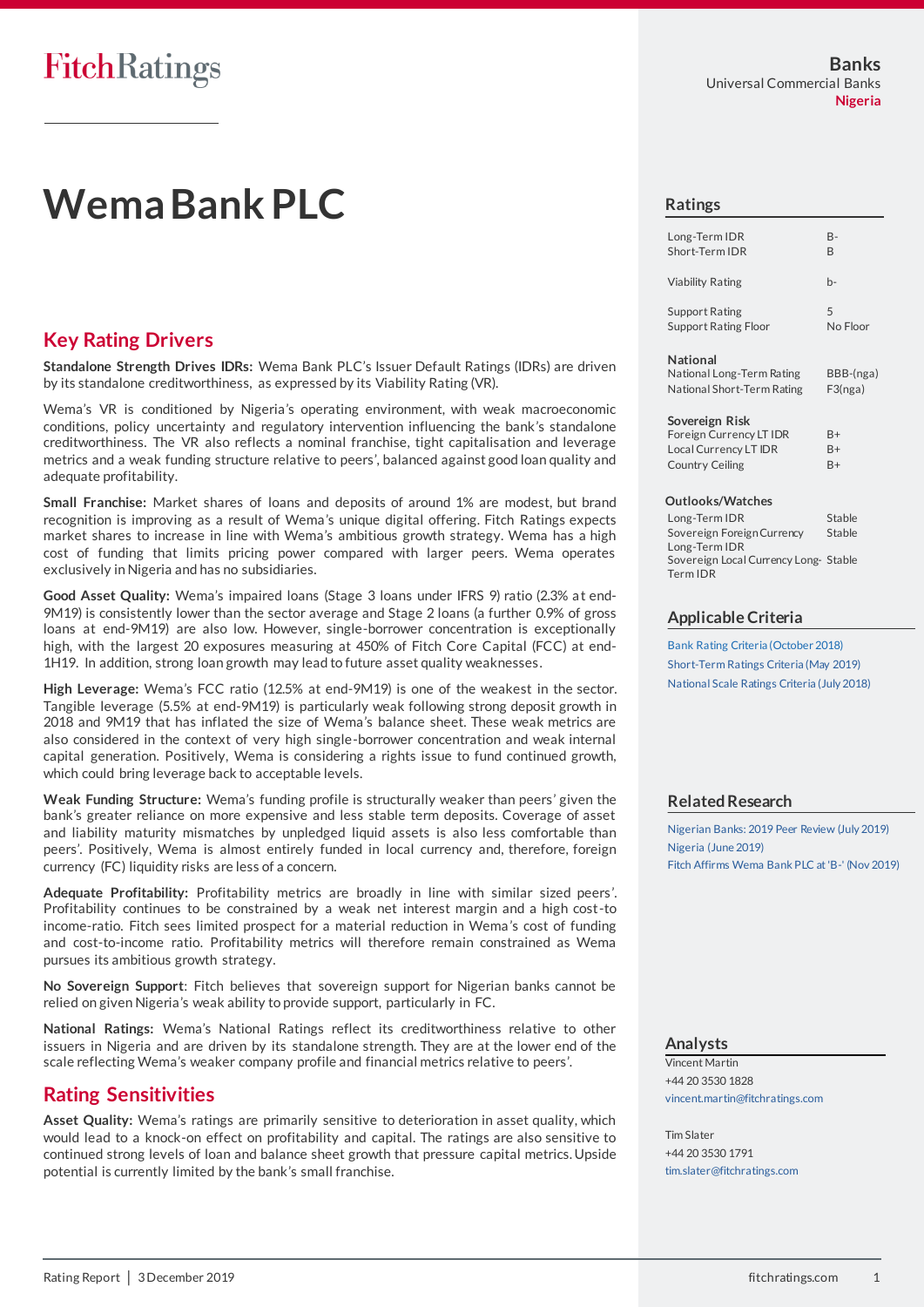# **Wema Bank PLC**

## **Key Rating Drivers**

**Standalone Strength Drives IDRs:** Wema Bank PLC's Issuer Default Ratings (IDRs) are driven by its standalone creditworthiness, as expressed by its Viability Rating (VR).

Wema's VR is conditioned by Nigeria's operating environment, with weak macroeconomic conditions, policy uncertainty and regulatory intervention influencing the bank's standalone creditworthiness. The VR also reflects a nominal franchise, tight capitalisation and leverage metrics and a weak funding structure relative to peers', balanced against good loan quality and adequate profitability.

**Small Franchise:** Market shares of loans and deposits of around 1% are modest, but brand recognition is improving as a result of Wema's unique digital offering. Fitch Ratings expects market shares to increase in line with Wema's ambitious growth strategy. Wema has a high cost of funding that limits pricing power compared with larger peers. Wema operates exclusively in Nigeria and has no subsidiaries.

**Good Asset Quality:** Wema's impaired loans (Stage 3 loans under IFRS 9) ratio (2.3% at end-9M19) is consistently lower than the sector average and Stage 2 loans (a further 0.9% of gross loans at end-9M19) are also low. However, single-borrower concentration is exceptionally high, with the largest 20 exposures measuring at 450% of Fitch Core Capital (FCC) at end-1H19. In addition, strong loan growth may lead to future asset quality weaknesses.

**High Leverage:** Wema's FCC ratio (12.5% at end-9M19) is one of the weakest in the sector. Tangible leverage (5.5% at end-9M19) is particularly weak following strong deposit growth in 2018 and 9M19 that has inflated the size of Wema's balance sheet. These weak metrics are also considered in the context of very high single-borrower concentration and weak internal capital generation. Positively, Wema is considering a rights issue to fund continued growth, which could bring leverage back to acceptable levels.

**Weak Funding Structure:** Wema's funding profile is structurally weaker than peers' given the bank's greater reliance on more expensive and less stable term deposits. Coverage of asset and liability maturity mismatches by unpledged liquid assets is also less comfortable than peers'. Positively, Wema is almost entirely funded in local currency and, therefore, foreign currency (FC) liquidity risks are less of a concern.

**Adequate Profitability:** Profitability metrics are broadly in line with similar sized peers'. Profitability continues to be constrained by a weak net interest margin and a high cost-to income-ratio. Fitch sees limited prospect for a material reduction in Wema's cost of funding and cost-to-income ratio. Profitability metrics will therefore remain constrained as Wema pursues its ambitious growth strategy.

**No Sovereign Support**: Fitch believes that sovereign support for Nigerian banks cannot be relied on given Nigeria's weak ability to provide support, particularly in FC.

**National Ratings:** Wema's National Ratings reflect its creditworthiness relative to other issuers in Nigeria and are driven by its standalone strength. They are at the lower end of the scale reflecting Wema's weaker company profile and financial metrics relative to peers'.

## **Rating Sensitivities**

**Asset Quality:** Wema's ratings are primarily sensitive to deterioration in asset quality, which would lead to a knock-on effect on profitability and capital. The ratings are also sensitive to continued strong levels of loan and balance sheet growth that pressure capital metrics. Upside potential is currently limited by the bank's small franchise.

#### **Ratings**

| Long-Term IDR               | B-       |
|-----------------------------|----------|
| Short-Term IDR              | B        |
| Viability Rating            | h-       |
| <b>Support Rating</b>       | 5        |
| <b>Support Rating Floor</b> | No Floor |

#### **National**

National Long-Term Rating BBB-(nga) National Short-Term Rating F3(nga)

#### **Sovereign Risk**

| Foreign Currency LT IDR | $B+$ |
|-------------------------|------|
| Local Currency LT IDR   | $B+$ |
| Country Ceiling         | $R+$ |

#### **Outlooks/Watches**

Long-Term IDR Stable Sovereign Foreign Currency Long-Term IDR Stable Sovereign Local Currency Long-Stable Term IDR

#### **Applicable Criteria**

[Bank Rating Criteria \(October 2018\)](https://app.fitchconnect.com/search/research/article/RPT_10044408) [Short-Term Ratings Criteria \(May 2019\)](https://app.fitchconnect.com/search/research/article/RPT_10073011) [National Scale Ratings Criteria \(July 2018\)](https://app.fitchconnect.com/search/research/article/RPT_10038626)

## **Related Research**

[Nigerian Banks: 2019 Peer Review \(July 2019\)](https://app.fitchconnect.com/search/research/article/RPT_10083016) [Nigeria \(June 2019\)](https://app.fitchconnect.com/search/research/article/RPT_10078277) [Fitch Affirms Wema Bank PLC at 'B-' \(Nov 2019\)](https://app.fitchconnect.com/search/research/article/PR_10100320)

#### **Analysts**

Vincent Martin +44 20 3530 1828 [vincent.martin@fitchratings.com](mailto:vincent.martin@fitchratings.com)

Tim Slater +44 20 3530 1791 [tim.slater@fitchratings.com](mailto:tim.slater@fitchratings.com)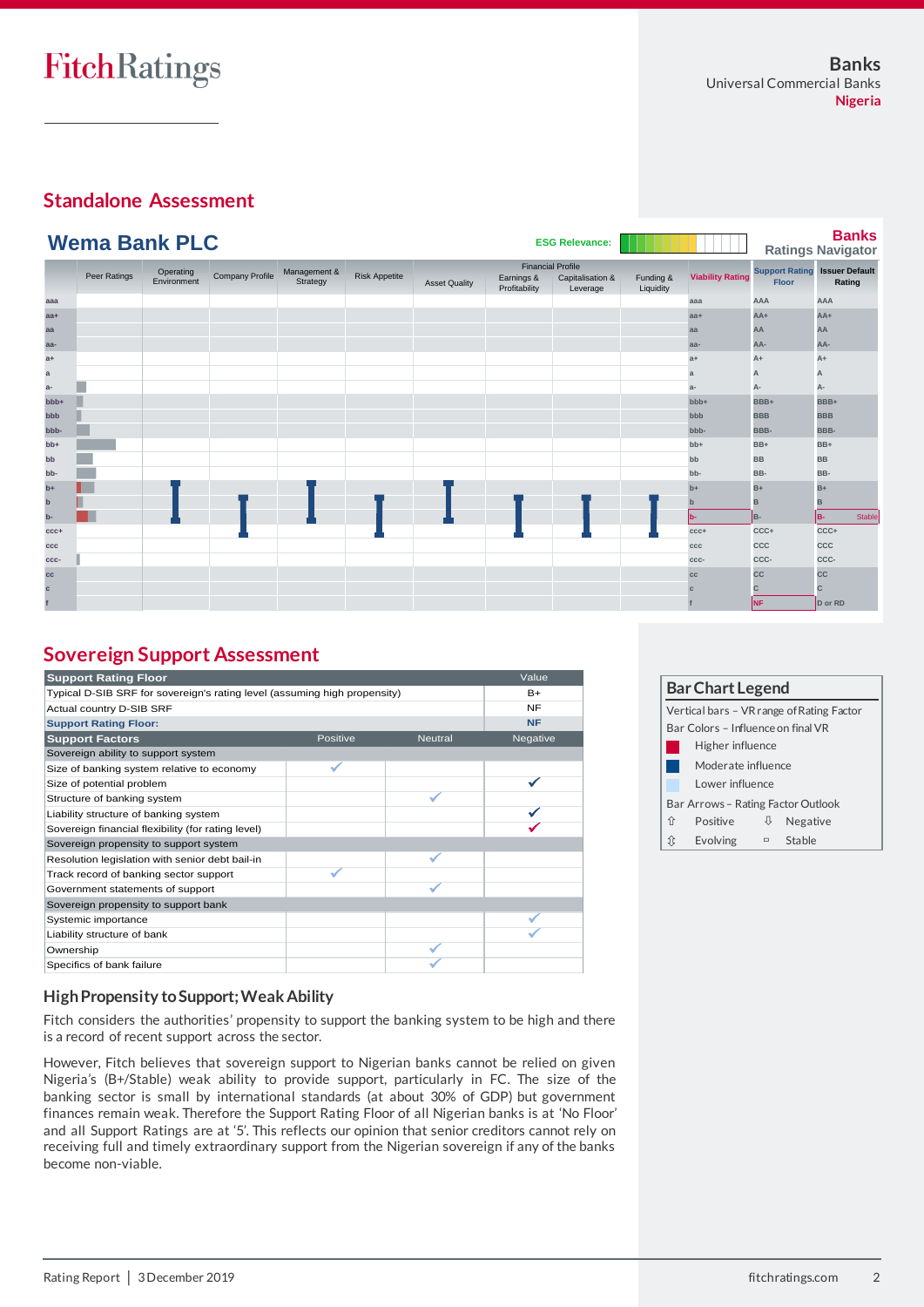## **Standalone Assessment**

|              | <b>Wema Bank PLC</b> |                          |                 |                          |                      |                      |                             | <b>ESG Relevance:</b>                                    |                        |                         |            | <b>Banks</b><br><b>Ratings Navigator</b>       |
|--------------|----------------------|--------------------------|-----------------|--------------------------|----------------------|----------------------|-----------------------------|----------------------------------------------------------|------------------------|-------------------------|------------|------------------------------------------------|
|              | Peer Ratings         | Operating<br>Environment | Company Profile | Management &<br>Strategy | <b>Risk Appetite</b> | <b>Asset Quality</b> | Earnings &<br>Profitability | <b>Financial Profile</b><br>Capitalisation &<br>Leverage | Funding &<br>Liquidity | <b>Viability Rating</b> | Floor      | <b>Support Rating Issuer Default</b><br>Rating |
| aaa          |                      |                          |                 |                          |                      |                      |                             |                                                          |                        | aaa                     | AAA        | AAA                                            |
| $aa+$        |                      |                          |                 |                          |                      |                      |                             |                                                          |                        | $aa+$                   | AA+        | $AA+$                                          |
| aa           |                      |                          |                 |                          |                      |                      |                             |                                                          |                        | aa                      | AA         | AA                                             |
| aa-          |                      |                          |                 |                          |                      |                      |                             |                                                          |                        | aa-                     | AA-        | AA-                                            |
| $a+$         |                      |                          |                 |                          |                      |                      |                             |                                                          |                        | $a+$                    | A+         | A+                                             |
| $\mathbf{a}$ |                      |                          |                 |                          |                      |                      |                             |                                                          |                        | a                       | A          | А                                              |
| $a-$         |                      |                          |                 |                          |                      |                      |                             |                                                          |                        | $a-$                    | А-         | А-                                             |
| bbb+         |                      |                          |                 |                          |                      |                      |                             |                                                          |                        | bbb+                    | BBB+       | BBB+                                           |
| bbb          |                      |                          |                 |                          |                      |                      |                             |                                                          |                        | bbb                     | <b>BBB</b> | <b>BBB</b>                                     |
| bbb-         |                      |                          |                 |                          |                      |                      |                             |                                                          |                        | bbb-                    | BBB-       | BBB-                                           |
| $bb+$        |                      |                          |                 |                          |                      |                      |                             |                                                          |                        | $bb+$                   | BB+        | BB+                                            |
| bb           |                      |                          |                 |                          |                      |                      |                             |                                                          |                        | bb                      | <b>BB</b>  | <b>BB</b>                                      |
| bb-          |                      |                          |                 |                          |                      |                      |                             |                                                          |                        | bb-                     | BB-        | BB-                                            |
| $b+$         |                      |                          |                 |                          |                      |                      |                             |                                                          |                        | $b+$                    | $B+$       | $B+$                                           |
| $\mathbf b$  |                      |                          |                 |                          |                      |                      |                             |                                                          |                        | $\mathbf{b}$            | в          | в                                              |
| $b -$        |                      |                          |                 |                          |                      |                      |                             |                                                          |                        | b-                      | B-         | Stable<br>lв-                                  |
| $ccc+$       |                      |                          |                 |                          |                      |                      |                             |                                                          |                        | $CCC +$                 | CCC+       | CCC+                                           |
| ccc          |                      |                          |                 |                          |                      |                      |                             |                                                          |                        | ccc                     | CCC        | CCC                                            |
| CCC-         |                      |                          |                 |                          |                      |                      |                             |                                                          |                        | CCC-                    | CCC-       | CCC-                                           |
| cc           |                      |                          |                 |                          |                      |                      |                             |                                                          |                        | cc                      | <b>CC</b>  | CC                                             |
| $\mathbf c$  |                      |                          |                 |                          |                      |                      |                             |                                                          |                        |                         | С          | C                                              |
|              |                      |                          |                 |                          |                      |                      |                             |                                                          |                        |                         | Inf.       | D or RD                                        |

# **Sovereign Support Assessment**

| <b>Support Rating Floor</b>                                               |          |                | Value     |
|---------------------------------------------------------------------------|----------|----------------|-----------|
| Typical D-SIB SRF for sovereign's rating level (assuming high propensity) | $B+$     |                |           |
| Actual country D-SIB SRF                                                  |          |                | <b>NF</b> |
| <b>Support Rating Floor:</b>                                              |          |                | <b>NF</b> |
| <b>Support Factors</b>                                                    | Positive | <b>Neutral</b> | Negative  |
| Sovereign ability to support system                                       |          |                |           |
| Size of banking system relative to economy                                |          |                |           |
| Size of potential problem                                                 |          |                |           |
| Structure of banking system                                               |          |                |           |
| Liability structure of banking system                                     |          |                |           |
| Sovereign financial flexibility (for rating level)                        |          |                |           |
| Sovereign propensity to support system                                    |          |                |           |
| Resolution legislation with senior debt bail-in                           |          |                |           |
| Track record of banking sector support                                    |          |                |           |
| Government statements of support                                          |          |                |           |
| Sovereign propensity to support bank                                      |          |                |           |
| Systemic importance                                                       |          |                |           |
| Liability structure of bank                                               |          |                |           |
| Ownership                                                                 |          |                |           |
| Specifics of bank failure                                                 |          |                |           |

| <b>Bar Chart Legend</b>            |                  |   |                                           |  |  |  |  |
|------------------------------------|------------------|---|-------------------------------------------|--|--|--|--|
|                                    |                  |   | Vertical bars - VR range of Rating Factor |  |  |  |  |
| Bar Colors - Influence on final VR |                  |   |                                           |  |  |  |  |
|                                    | Higher influence |   |                                           |  |  |  |  |
| Moderate influence                 |                  |   |                                           |  |  |  |  |
|                                    | Lower influence  |   |                                           |  |  |  |  |
| Bar Arrows – Rating Factor Outlook |                  |   |                                           |  |  |  |  |
| 介                                  | Positive         | ⇓ | Negative                                  |  |  |  |  |
| ⇕                                  | <b>Evolving</b>  |   | <sup>□</sup> Stable                       |  |  |  |  |

## **High Propensity to Support; Weak Ability**

Fitch considers the authorities' propensity to support the banking system to be high and there is a record of recent support across the sector.

However, Fitch believes that sovereign support to Nigerian banks cannot be relied on given Nigeria's (B+/Stable) weak ability to provide support, particularly in FC. The size of the banking sector is small by international standards (at about 30% of GDP) but government finances remain weak. Therefore the Support Rating Floor of all Nigerian banks is at 'No Floor' and all Support Ratings are at '5'. This reflects our opinion that senior creditors cannot rely on receiving full and timely extraordinary support from the Nigerian sovereign if any of the banks become non-viable.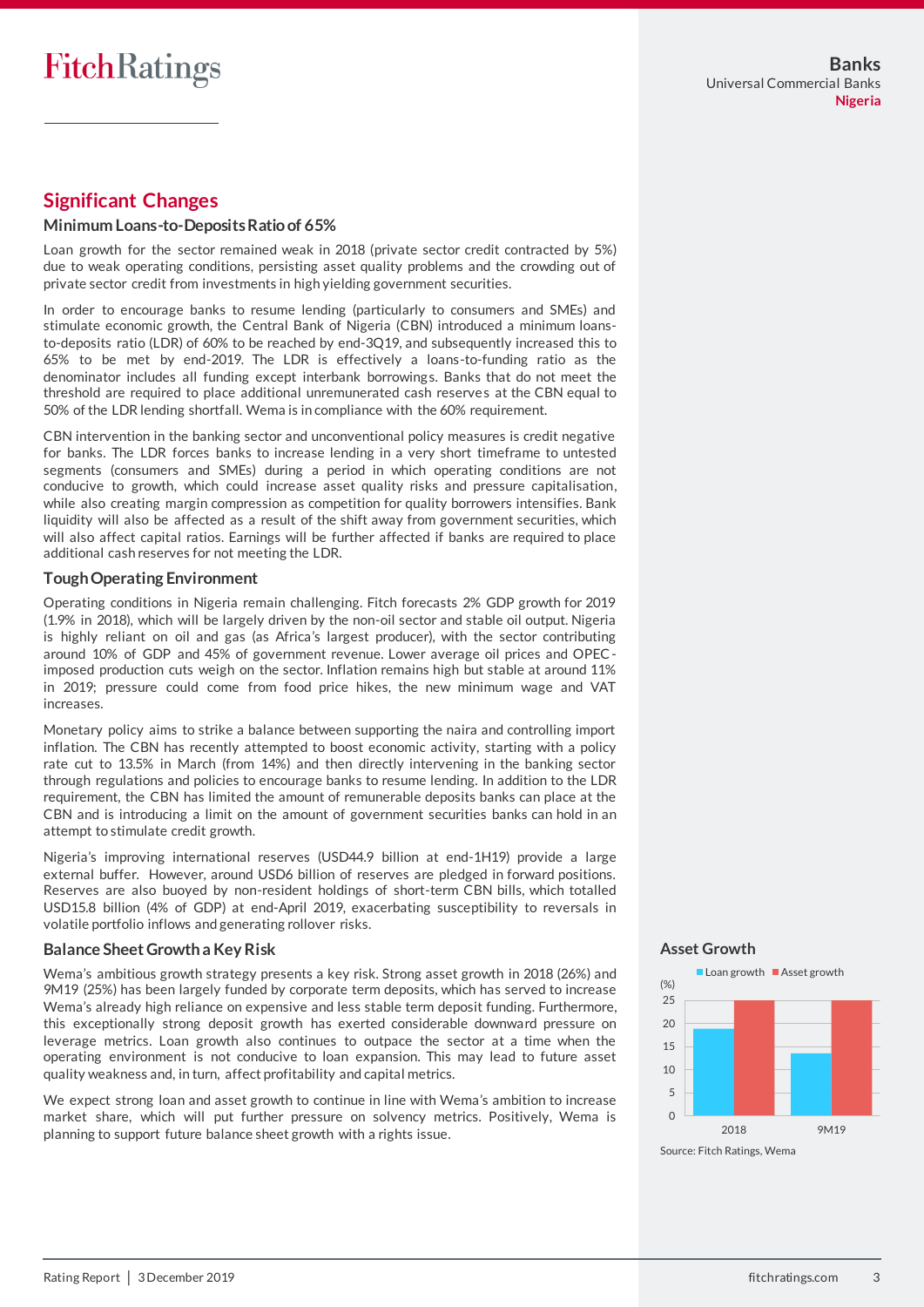## **Significant Changes**

#### **Minimum Loans-to-Deposits Ratio of 65%**

Loan growth for the sector remained weak in 2018 (private sector credit contracted by 5%) due to weak operating conditions, persisting asset quality problems and the crowding out of private sector credit from investments in high yielding government securities.

In order to encourage banks to resume lending (particularly to consumers and SMEs) and stimulate economic growth, the Central Bank of Nigeria (CBN) introduced a minimum loansto-deposits ratio (LDR) of 60% to be reached by end-3Q19, and subsequently increased this to 65% to be met by end-2019. The LDR is effectively a loans-to-funding ratio as the denominator includes all funding except interbank borrowings. Banks that do not meet the threshold are required to place additional unremunerated cash reserves at the CBN equal to 50% of the LDR lending shortfall. Wema is in compliance with the 60% requirement.

CBN intervention in the banking sector and unconventional policy measures is credit negative for banks. The LDR forces banks to increase lending in a very short timeframe to untested segments (consumers and SMEs) during a period in which operating conditions are not conducive to growth, which could increase asset quality risks and pressure capitalisation, while also creating margin compression as competition for quality borrowers intensifies. Bank liquidity will also be affected as a result of the shift away from government securities, which will also affect capital ratios. Earnings will be further affected if banks are required to place additional cash reserves for not meeting the LDR.

#### **Tough Operating Environment**

Operating conditions in Nigeria remain challenging. Fitch forecasts 2% GDP growth for 2019 (1.9% in 2018), which will be largely driven by the non-oil sector and stable oil output. Nigeria is highly reliant on oil and gas (as Africa's largest producer), with the sector contributing around 10% of GDP and 45% of government revenue. Lower average oil prices and OPECimposed production cuts weigh on the sector. Inflation remains high but stable at around 11% in 2019; pressure could come from food price hikes, the new minimum wage and VAT increases.

Monetary policy aims to strike a balance between supporting the naira and controlling import inflation. The CBN has recently attempted to boost economic activity, starting with a policy rate cut to 13.5% in March (from 14%) and then directly intervening in the banking sector through regulations and policies to encourage banks to resume lending. In addition to the LDR requirement, the CBN has limited the amount of remunerable deposits banks can place at the CBN and is introducing a limit on the amount of government securities banks can hold in an attempt to stimulate credit growth.

Nigeria's improving international reserves (USD44.9 billion at end-1H19) provide a large external buffer. However, around USD6 billion of reserves are pledged in forward positions. Reserves are also buoyed by non-resident holdings of short-term CBN bills, which totalled USD15.8 billion (4% of GDP) at end-April 2019, exacerbating susceptibility to reversals in volatile portfolio inflows and generating rollover risks.

## **Balance Sheet Growth a Key Risk**

Wema's ambitious growth strategy presents a key risk. Strong asset growth in 2018 (26%) and 9M19 (25%) has been largely funded by corporate term deposits, which has served to increase Wema's already high reliance on expensive and less stable term deposit funding. Furthermore, this exceptionally strong deposit growth has exerted considerable downward pressure on leverage metrics. Loan growth also continues to outpace the sector at a time when the operating environment is not conducive to loan expansion. This may lead to future asset quality weakness and, in turn, affect profitability and capital metrics.

We expect strong loan and asset growth to continue in line with Wema's ambition to increase market share, which will put further pressure on solvency metrics. Positively, Wema is planning to support future balance sheet growth with a rights issue.

#### **Asset Growth**



Source: Fitch Ratings, Wema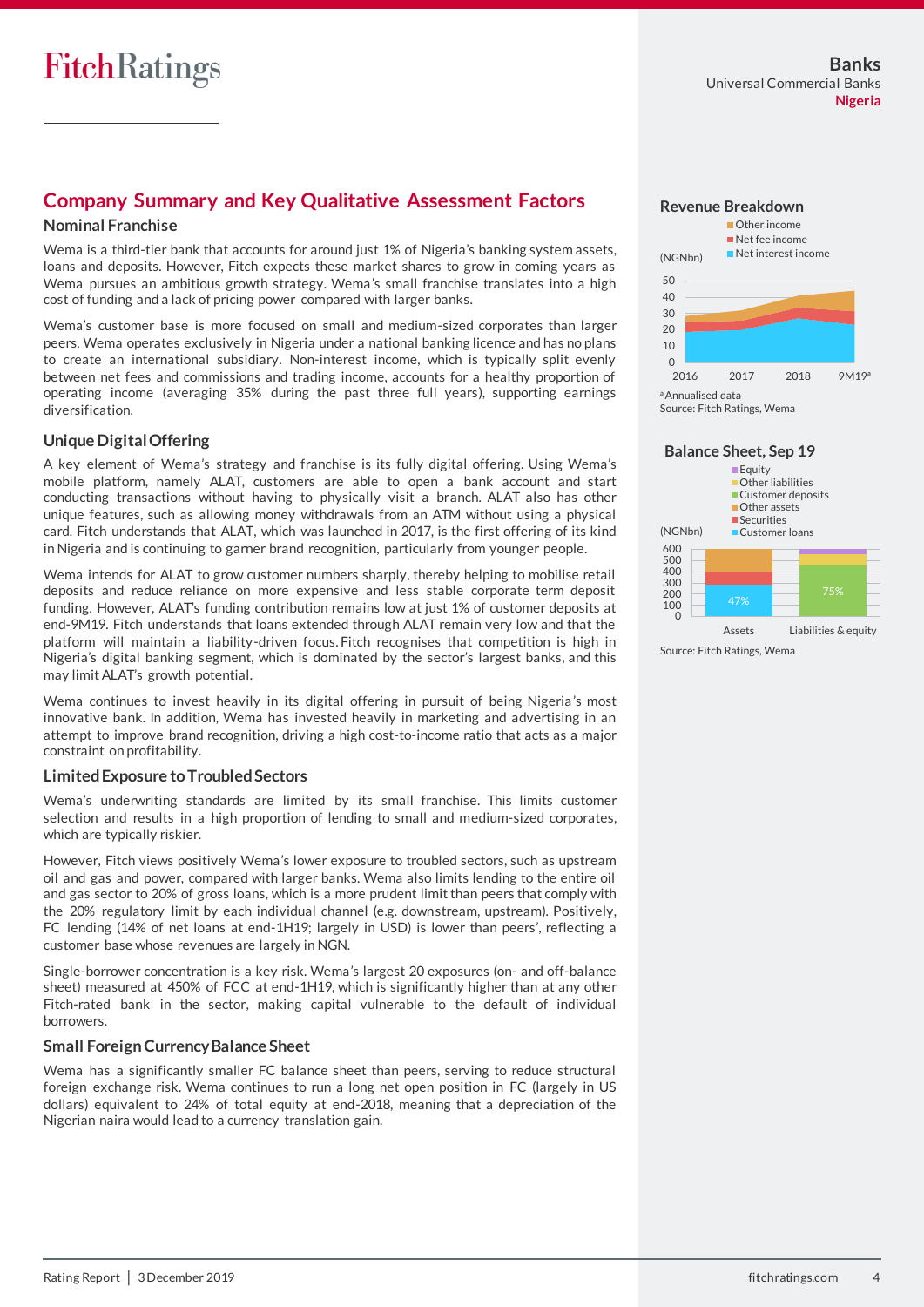## **Company Summary and Key Qualitative Assessment Factors**

#### **Nominal Franchise**

Wema is a third-tier bank that accounts for around just 1% of Nigeria's banking system assets, loans and deposits. However, Fitch expects these market shares to grow in coming years as Wema pursues an ambitious growth strategy. Wema's small franchise translates into a high cost of funding and a lack of pricing power compared with larger banks.

Wema's customer base is more focused on small and medium-sized corporates than larger peers. Wema operates exclusively in Nigeria under a national banking licence and has no plans to create an international subsidiary. Non-interest income, which is typically split evenly between net fees and commissions and trading income, accounts for a healthy proportion of operating income (averaging 35% during the past three full years), supporting earnings diversification.

## **Unique Digital Offering**

A key element of Wema's strategy and franchise is its fully digital offering. Using Wema's mobile platform, namely ALAT, customers are able to open a bank account and start conducting transactions without having to physically visit a branch. ALAT also has other unique features, such as allowing money withdrawals from an ATM without using a physical card. Fitch understands that ALAT, which was launched in 2017, is the first offering of its kind in Nigeria and is continuing to garner brand recognition, particularly from younger people.

Wema intends for ALAT to grow customer numbers sharply, thereby helping to mobilise retail deposits and reduce reliance on more expensive and less stable corporate term deposit funding. However, ALAT's funding contribution remains low at just 1% of customer deposits at end-9M19. Fitch understands that loans extended through ALAT remain very low and that the platform will maintain a liability-driven focus. Fitch recognises that competition is high in Nigeria's digital banking segment, which is dominated by the sector's largest banks, and this may limit ALAT's growth potential.

Wema continues to invest heavily in its digital offering in pursuit of being Nigeria's most innovative bank. In addition, Wema has invested heavily in marketing and advertising in an attempt to improve brand recognition, driving a high cost-to-income ratio that acts as a major constraint on profitability.

#### **Limited Exposure to Troubled Sectors**

Wema's underwriting standards are limited by its small franchise. This limits customer selection and results in a high proportion of lending to small and medium-sized corporates, which are typically riskier.

However, Fitch views positively Wema's lower exposure to troubled sectors, such as upstream oil and gas and power, compared with larger banks. Wema also limits lending to the entire oil and gas sector to 20% of gross loans, which is a more prudent limit than peers that comply with the 20% regulatory limit by each individual channel (e.g. downstream, upstream). Positively, FC lending (14% of net loans at end-1H19; largely in USD) is lower than peers', reflecting a customer base whose revenues are largely in NGN.

Single-borrower concentration is a key risk. Wema's largest 20 exposures (on- and off-balance sheet) measured at 450% of FCC at end-1H19, which is significantly higher than at any other Fitch-rated bank in the sector, making capital vulnerable to the default of individual borrowers.

#### **Small Foreign Currency Balance Sheet**

Wema has a significantly smaller FC balance sheet than peers, serving to reduce structural foreign exchange risk. Wema continues to run a long net open position in FC (largely in US dollars) equivalent to 24% of total equity at end-2018, meaning that a depreciation of the Nigerian naira would lead to a currency translation gain.



#### **Balance Sheet, Sep 19**



Source: Fitch Ratings, Wema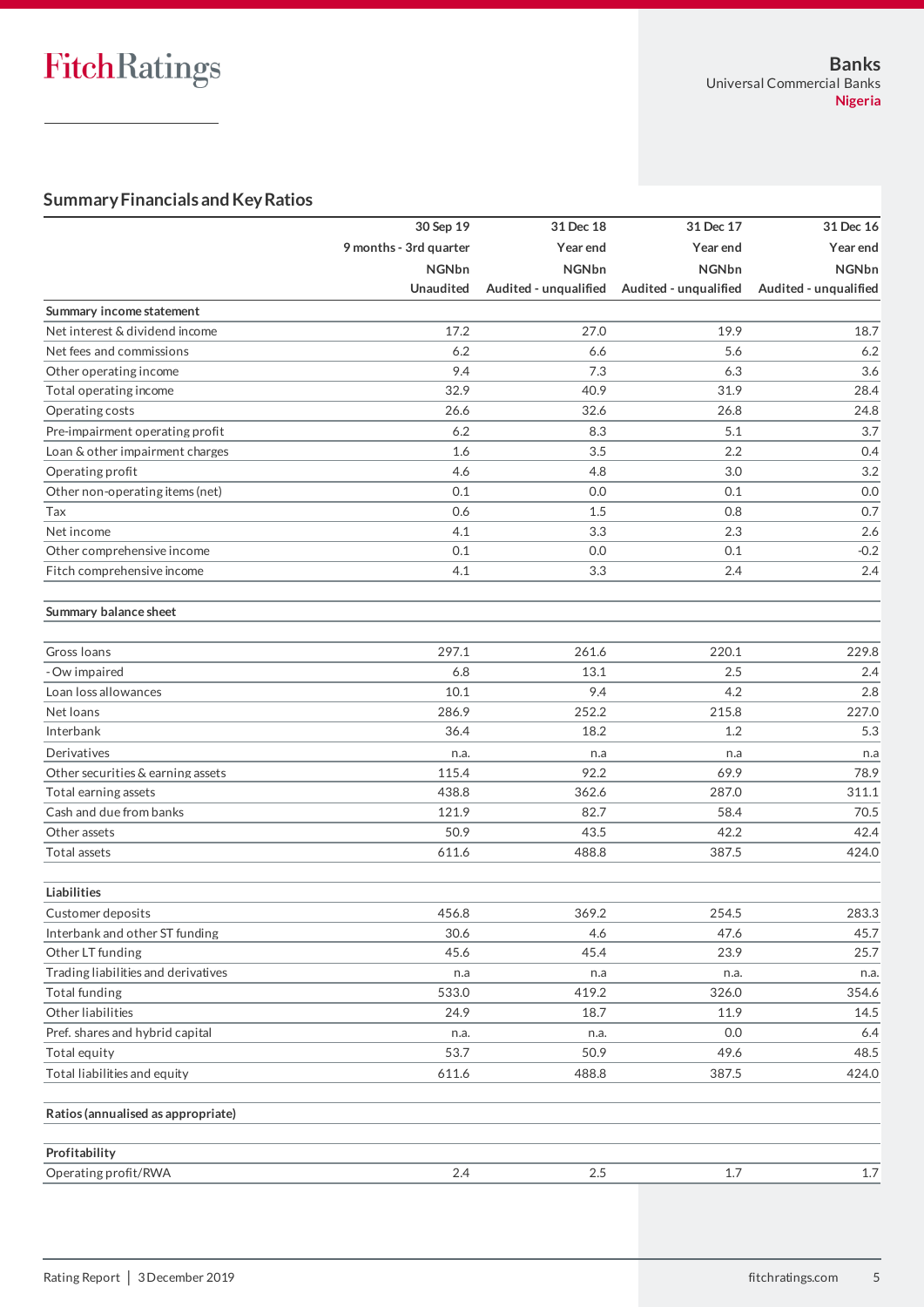# **Summary Financials and Key Ratios**

|                                     | 30 Sep 19              | 31 Dec 18             | 31 Dec 17             | 31 Dec 16             |
|-------------------------------------|------------------------|-----------------------|-----------------------|-----------------------|
|                                     | 9 months - 3rd quarter | Year end              | Year end              | Year end              |
|                                     | <b>NGNbn</b>           | <b>NGNbn</b>          | <b>NGNbn</b>          | <b>NGNbn</b>          |
|                                     | Unaudited              | Audited - unqualified | Audited - unqualified | Audited - unqualified |
| Summary income statement            |                        |                       |                       |                       |
| Net interest & dividend income      | 17.2                   | 27.0                  | 19.9                  | 18.7                  |
| Net fees and commissions            | 6.2                    | 6.6                   | 5.6                   | 6.2                   |
| Other operating income              | 9.4                    | 7.3                   | 6.3                   | 3.6                   |
| Total operating income              | 32.9                   | 40.9                  | 31.9                  | 28.4                  |
| Operating costs                     | 26.6                   | 32.6                  | 26.8                  | 24.8                  |
| Pre-impairment operating profit     | 6.2                    | 8.3                   | 5.1                   | 3.7                   |
| Loan & other impairment charges     | 1.6                    | 3.5                   | 2.2                   | 0.4                   |
| Operating profit                    | 4.6                    | 4.8                   | 3.0                   | 3.2                   |
| Other non-operating items (net)     | 0.1                    | 0.0                   | 0.1                   | 0.0                   |
| Tax                                 | 0.6                    | 1.5                   | 0.8                   | 0.7                   |
| Net income                          | 4.1                    | 3.3                   | 2.3                   | 2.6                   |
| Other comprehensive income          | 0.1                    | 0.0                   | 0.1                   | $-0.2$                |
| Fitch comprehensive income          | 4.1                    | 3.3                   | 2.4                   | 2.4                   |
| Summary balance sheet               |                        |                       |                       |                       |
| Gross Ioans                         | 297.1                  | 261.6                 | 220.1                 | 229.8                 |
| - Ow impaired                       | 6.8                    | 13.1                  | 2.5                   | 2.4                   |
| Loan loss allowances                | 10.1                   | 9.4                   | 4.2                   | 2.8                   |
| Net loans                           | 286.9                  | 252.2                 | 215.8                 | 227.0                 |
| Interbank                           | 36.4                   | 18.2                  | 1.2                   | 5.3                   |
| Derivatives                         | n.a.                   | n.a                   | n.a                   | n.a                   |
| Other securities & earning assets   | 115.4                  | 92.2                  | 69.9                  | 78.9                  |
| Total earning assets                | 438.8                  | 362.6                 | 287.0                 | 311.1                 |
| Cash and due from banks             | 121.9                  | 82.7                  | 58.4                  | 70.5                  |
| Other assets                        | 50.9                   | 43.5                  | 42.2                  | 42.4                  |
| Total assets                        | 611.6                  | 488.8                 | 387.5                 | 424.0                 |
| <b>Liabilities</b>                  |                        |                       |                       |                       |
| Customer deposits                   | 456.8                  | 369.2                 | 254.5                 | 283.3                 |
| Interbank and other ST funding      | 30.6                   | 4.6                   | 47.6                  | 45.7                  |
| Other LT funding                    | 45.6                   | 45.4                  | 23.9                  | 25.7                  |
| Trading liabilities and derivatives | n.a                    | n.a                   | n.a.                  | n.a.                  |
| Total funding                       | 533.0                  | 419.2                 | 326.0                 | 354.6                 |
| Other liabilities                   | 24.9                   | 18.7                  | 11.9                  | 14.5                  |
| Pref. shares and hybrid capital     | n.a.                   | n.a.                  | 0.0                   | 6.4                   |
| Total equity                        | 53.7                   | 50.9                  | 49.6                  | 48.5                  |
| Total liabilities and equity        | 611.6                  | 488.8                 | 387.5                 | 424.0                 |
| Ratios (annualised as appropriate)  |                        |                       |                       |                       |
| Profitability                       |                        |                       |                       |                       |
| Operating profit/RWA                | 2.4                    | 2.5                   | 1.7                   | 1.7                   |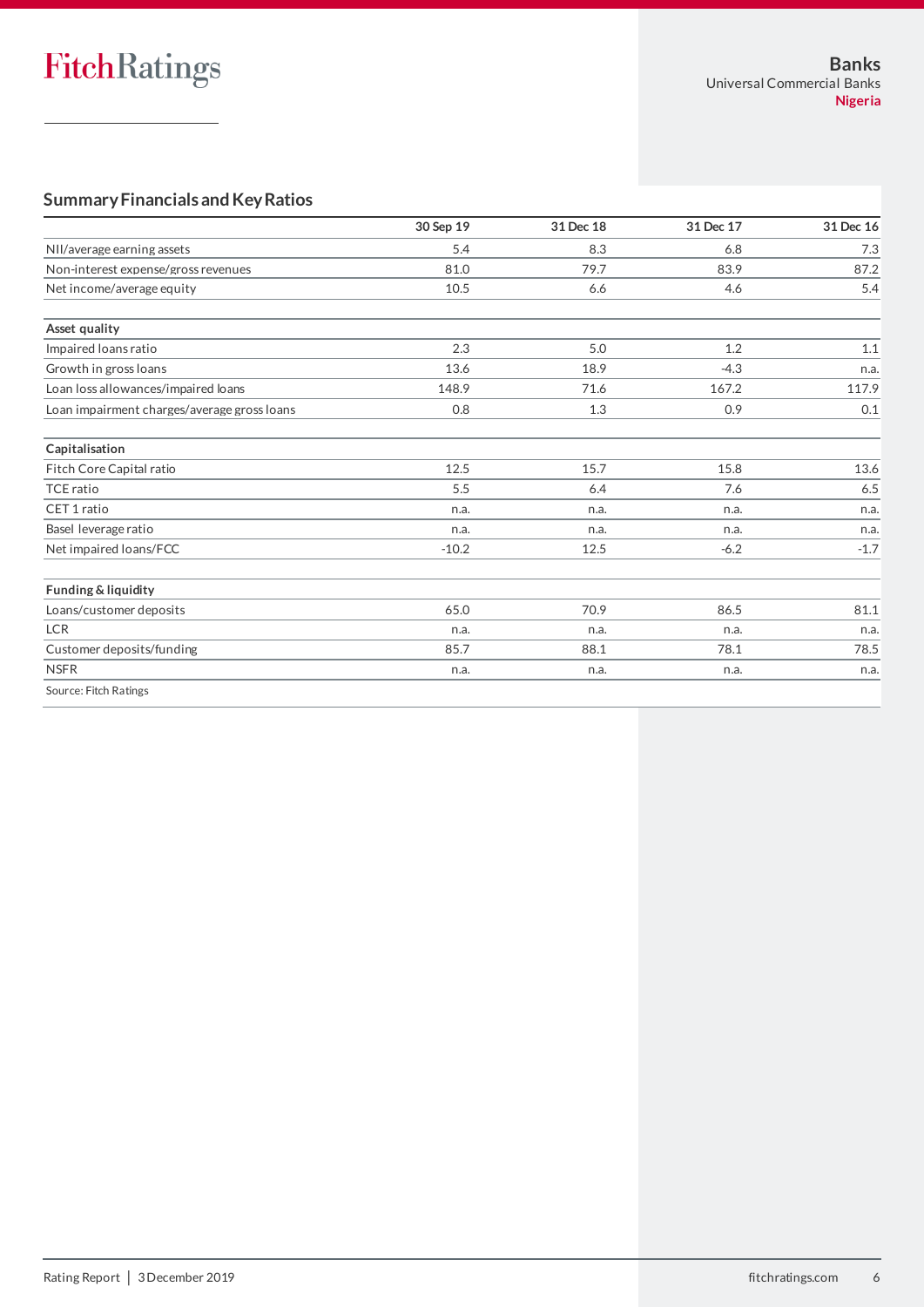# **Summary Financials and Key Ratios**

|                                             | 30 Sep 19 | 31 Dec 18 | 31 Dec 17 | 31 Dec 16 |
|---------------------------------------------|-----------|-----------|-----------|-----------|
| NII/average earning assets                  | 5.4       | 8.3       | 6.8       | 7.3       |
| Non-interest expense/gross revenues         | 81.0      | 79.7      | 83.9      | 87.2      |
| Net income/average equity                   | 10.5      | 6.6       | 4.6       | 5.4       |
| Asset quality                               |           |           |           |           |
| Impaired loans ratio                        | 2.3       | 5.0       | 1.2       | 1.1       |
| Growth in gross loans                       | 13.6      | 18.9      | $-4.3$    | n.a.      |
| Loan loss allowances/impaired loans         | 148.9     | 71.6      | 167.2     | 117.9     |
| Loan impairment charges/average gross loans | 0.8       | 1.3       | 0.9       | 0.1       |
| Capitalisation                              |           |           |           |           |
| Fitch Core Capital ratio                    | 12.5      | 15.7      | 15.8      | 13.6      |
| <b>TCE ratio</b>                            | 5.5       | 6.4       | 7.6       | 6.5       |
| CET 1 ratio                                 | n.a.      | n.a.      | n.a.      | n.a.      |
| Basel leverage ratio                        | n.a.      | n.a.      | n.a.      | n.a.      |
| Net impaired loans/FCC                      | $-10.2$   | 12.5      | $-6.2$    | $-1.7$    |
| Funding & liquidity                         |           |           |           |           |
| Loans/customer deposits                     | 65.0      | 70.9      | 86.5      | 81.1      |
| <b>LCR</b>                                  | n.a.      | n.a.      | n.a.      | n.a.      |
| Customer deposits/funding                   | 85.7      | 88.1      | 78.1      | 78.5      |
| <b>NSFR</b>                                 | n.a.      | n.a.      | n.a.      | n.a.      |
| Source: Fitch Ratings                       |           |           |           |           |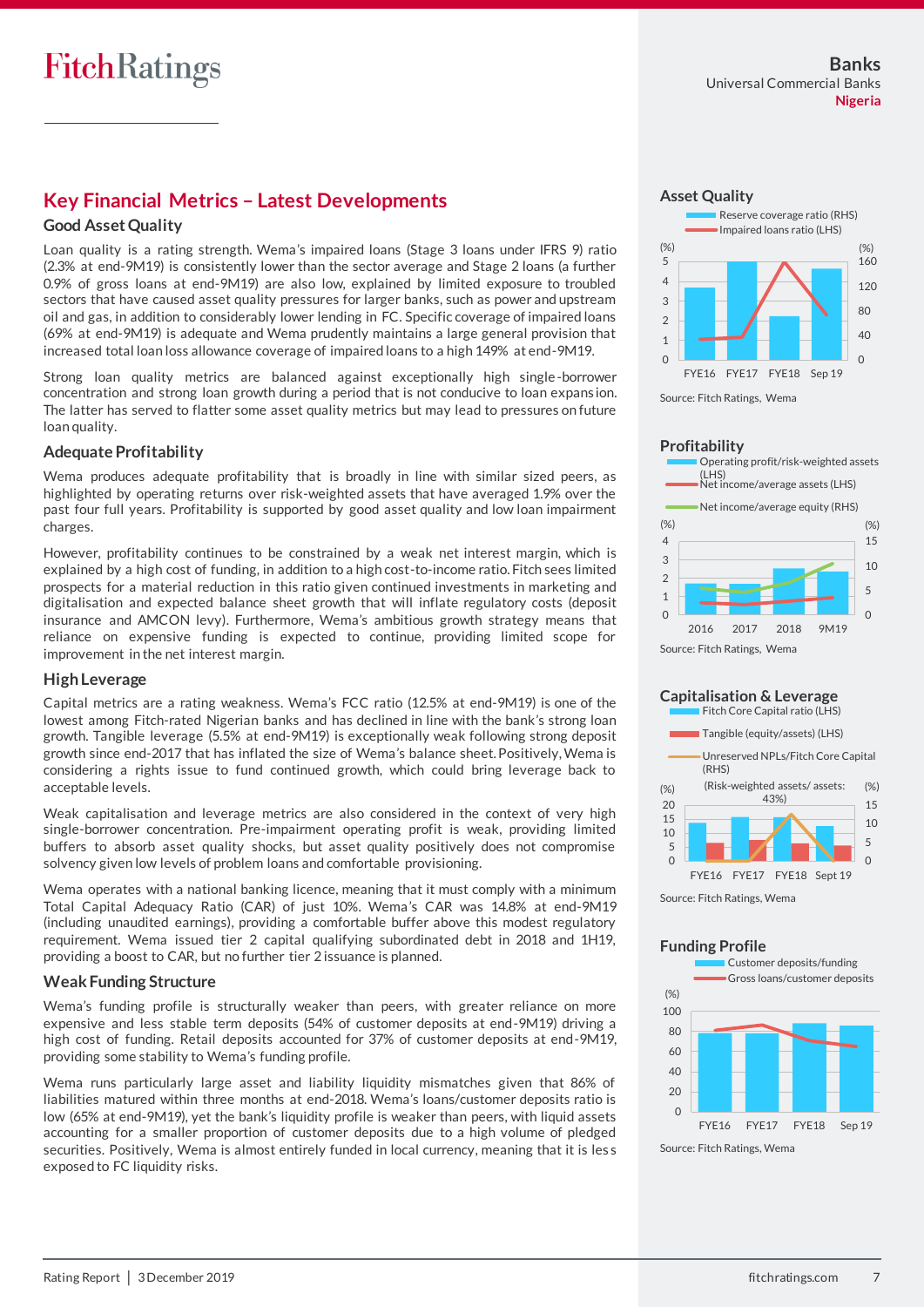## **Key Financial Metrics – Latest Developments**

#### **Good Asset Quality**

Loan quality is a rating strength. Wema's impaired loans (Stage 3 loans under IFRS 9) ratio (2.3% at end-9M19) is consistently lower than the sector average and Stage 2 loans (a further 0.9% of gross loans at end-9M19) are also low, explained by limited exposure to troubled sectors that have caused asset quality pressures for larger banks, such as power and upstream oil and gas, in addition to considerably lower lending in FC. Specific coverage of impaired loans (69% at end-9M19) is adequate and Wema prudently maintains a large general provision that increased total loan loss allowance coverage of impaired loans to a high 149% at end-9M19.

Strong loan quality metrics are balanced against exceptionally high single-borrower concentration and strong loan growth during a period that is not conducive to loan expans ion. The latter has served to flatter some asset quality metrics but may lead to pressures on future loan quality.

#### **Adequate Profitability**

Wema produces adequate profitability that is broadly in line with similar sized peers, as highlighted by operating returns over risk-weighted assets that have averaged 1.9% over the past four full years. Profitability is supported by good asset quality and low loan impairment charges.

However, profitability continues to be constrained by a weak net interest margin, which is explained by a high cost of funding, in addition to a high cost-to-income ratio. Fitch sees limited prospects for a material reduction in this ratio given continued investments in marketing and digitalisation and expected balance sheet growth that will inflate regulatory costs (deposit insurance and AMCON levy). Furthermore, Wema's ambitious growth strategy means that reliance on expensive funding is expected to continue, providing limited scope for improvement in the net interest margin.

#### **HighLeverage**

Capital metrics are a rating weakness. Wema's FCC ratio (12.5% at end-9M19) is one of the lowest among Fitch-rated Nigerian banks and has declined in line with the bank's strong loan growth. Tangible leverage (5.5% at end-9M19) is exceptionally weak following strong deposit growth since end-2017 that has inflated the size of Wema's balance sheet. Positively, Wema is considering a rights issue to fund continued growth, which could bring leverage back to acceptable levels.

Weak capitalisation and leverage metrics are also considered in the context of very high single-borrower concentration. Pre-impairment operating profit is weak, providing limited buffers to absorb asset quality shocks, but asset quality positively does not compromise solvency given low levels of problem loans and comfortable provisioning.

Wema operates with a national banking licence, meaning that it must comply with a minimum Total Capital Adequacy Ratio (CAR) of just 10%. Wema's CAR was 14.8% at end-9M19 (including unaudited earnings), providing a comfortable buffer above this modest regulatory requirement. Wema issued tier 2 capital qualifying subordinated debt in 2018 and 1H19, providing a boost to CAR, but no further tier 2 issuance is planned.

## **Weak Funding Structure**

Wema's funding profile is structurally weaker than peers, with greater reliance on more expensive and less stable term deposits (54% of customer deposits at end-9M19) driving a high cost of funding. Retail deposits accounted for 37% of customer deposits at end-9M19, providing some stability to Wema's funding profile.

Wema runs particularly large asset and liability liquidity mismatches given that 86% of liabilities matured within three months at end-2018. Wema's loans/customer deposits ratio is low (65% at end-9M19), yet the bank's liquidity profile is weaker than peers, with liquid assets accounting for a smaller proportion of customer deposits due to a high volume of pledged securities. Positively, Wema is almost entirely funded in local currency, meaning that it is les s exposed to FC liquidity risks.





Source: Fitch Ratings, Wema



## **Capitalisation & Leverage**



Source: Fitch Ratings, Wema

#### **Funding Profile**



Source: Fitch Ratings, Wema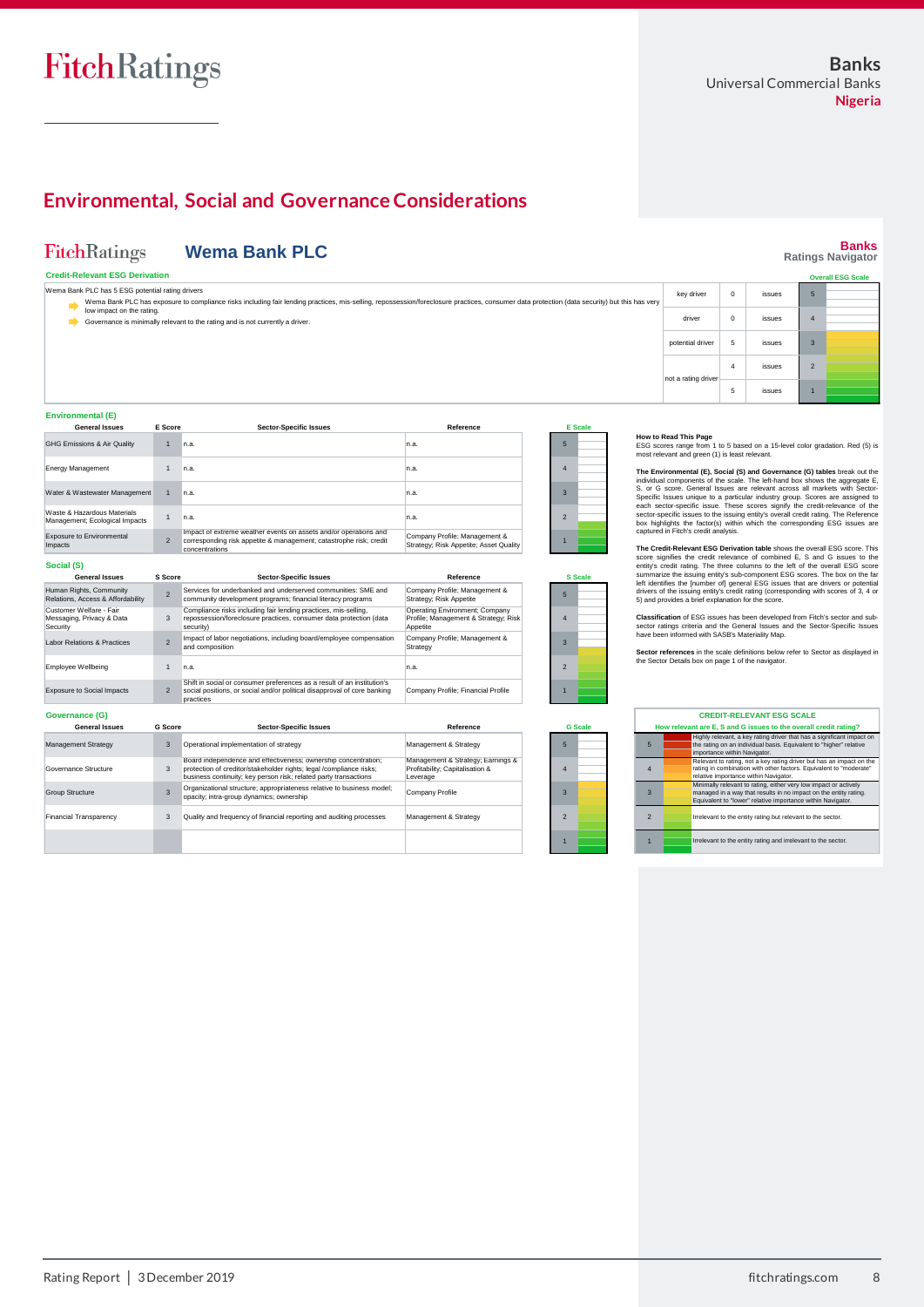# FitchRatings

# **Environmental, Social and Governance Considerations**

| <b>FitchRatings</b>                                              |                | <b>Wema Bank PLC</b>                                                                                                                                                                                      |                                                                                    |                                  |                                                                         |                |                                                             | <b>Banks</b><br><b>Ratings Navigator</b>                                                                                                                                                                                                    |
|------------------------------------------------------------------|----------------|-----------------------------------------------------------------------------------------------------------------------------------------------------------------------------------------------------------|------------------------------------------------------------------------------------|----------------------------------|-------------------------------------------------------------------------|----------------|-------------------------------------------------------------|---------------------------------------------------------------------------------------------------------------------------------------------------------------------------------------------------------------------------------------------|
| <b>Credit-Relevant ESG Derivation</b>                            |                |                                                                                                                                                                                                           |                                                                                    |                                  |                                                                         |                |                                                             | <b>Overall ESG Scale</b>                                                                                                                                                                                                                    |
| Wema Bank PLC has 5 ESG potential rating drivers                 |                | Wema Bank PLC has exposure to compliance risks including fair lending practices, mis-selling, repossession/foreclosure practices, consumer data protection (data security) but this has very              |                                                                                    |                                  | key driver                                                              | $\,0\,$        | issues                                                      | $\sqrt{5}$                                                                                                                                                                                                                                  |
| low impact on the rating.<br>∙                                   |                | Governance is minimally relevant to the rating and is not currently a driver.                                                                                                                             |                                                                                    |                                  | driver                                                                  | $\mathbf 0$    | issues                                                      | $\overline{4}$                                                                                                                                                                                                                              |
|                                                                  |                |                                                                                                                                                                                                           |                                                                                    |                                  | potential driver                                                        | 5              | issues                                                      | $\mathbf{3}$                                                                                                                                                                                                                                |
|                                                                  |                |                                                                                                                                                                                                           |                                                                                    |                                  | not a rating driver                                                     | $\overline{4}$ | issues                                                      | $\overline{\phantom{0}}$                                                                                                                                                                                                                    |
|                                                                  |                |                                                                                                                                                                                                           |                                                                                    |                                  |                                                                         | 5              | <i>issues</i>                                               |                                                                                                                                                                                                                                             |
| <b>Environmental (E)</b><br><b>General Issues</b>                | E Score        | <b>Sector-Specific Issues</b>                                                                                                                                                                             | Reference                                                                          | <b>E</b> Scale                   |                                                                         |                |                                                             |                                                                                                                                                                                                                                             |
| <b>GHG Emissions &amp; Air Quality</b>                           | $\overline{1}$ | In.a.                                                                                                                                                                                                     | n.a.                                                                               | 5                                | How to Read This Page<br>most relevant and green (1) is least relevant. |                |                                                             | ESG scores range from 1 to 5 based on a 15-level color gradation. Red (5) is                                                                                                                                                                |
| <b>Energy Management</b>                                         | $\mathbf{1}$   | n.a                                                                                                                                                                                                       | n.a.                                                                               | $\overline{4}$                   |                                                                         |                |                                                             | The Environmental (E), Social (S) and Governance (G) tables break out the<br>individual components of the scale. The left-hand box shows the aggregate E,                                                                                   |
| Water & Wastewater Management                                    | $\overline{1}$ | n.a                                                                                                                                                                                                       | n.a.                                                                               | $\overline{3}$                   |                                                                         |                |                                                             | S, or G score. General Issues are relevant across all markets with Sector-<br>Specific Issues unique to a particular industry group. Scores are assigned to<br>each sector-specific issue. These scores signify the credit-relevance of the |
| Waste & Hazardous Materials<br>Management; Ecological Impacts    | $\mathbf{1}$   | n.a.                                                                                                                                                                                                      | n.a.                                                                               | $\overline{2}$                   | captured in Fitch's credit analysis.                                    |                |                                                             | sector-specific issues to the issuing entity's overall credit rating. The Reference<br>box highlights the factor(s) within which the corresponding ESG issues are                                                                           |
| <b>Exposure to Environmental</b><br>Impacts                      | $\overline{2}$ | Impact of extreme weather events on assets and/or operations and<br>corresponding risk appetite & management; catastrophe risk; credit<br>concentrations                                                  | Company Profile; Management &<br>Strategy; Risk Appetite; Asset Quality            |                                  |                                                                         |                |                                                             | The Credit-Relevant ESG Derivation table shows the overall ESG score. This                                                                                                                                                                  |
| Social (S)                                                       |                |                                                                                                                                                                                                           |                                                                                    |                                  |                                                                         |                |                                                             | score signifies the credit relevance of combined E, S and G issues to the<br>entity's credit rating. The three columns to the left of the overall ESG score                                                                                 |
| <b>General Issues</b>                                            | S Score        | <b>Sector-Specific Issues</b>                                                                                                                                                                             | Reference                                                                          | <b>S</b> Scale                   |                                                                         |                |                                                             | summarize the issuing entity's sub-component ESG scores. The box on the far<br>left identifies the [number of] general ESG issues that are drivers or potential                                                                             |
| Human Rights, Community<br>Relations, Access & Affordability     | $\overline{2}$ | Services for underbanked and underserved communities: SME and<br>community development programs; financial literacy programs                                                                              | Company Profile; Management &<br>Strategy; Risk Appetite                           | 5                                | 5) and provides a brief explanation for the score.                      |                |                                                             | drivers of the issuing entity's credit rating (corresponding with scores of 3, 4 or                                                                                                                                                         |
| Customer Welfare - Fair<br>Messaging, Privacy & Data<br>Security | 3              | Compliance risks including fair lending practices, mis-selling,<br>repossession/foreclosure practices, consumer data protection (data<br>security)                                                        | Operating Environment; Company<br>Profile; Management & Strategy; Risk<br>Appetite | $\overline{4}$                   |                                                                         |                |                                                             | Classification of ESG issues has been developed from Fitch's sector and sub-<br>sector ratings criteria and the General Issues and the Sector-Specific Issues                                                                               |
| <b>Labor Relations &amp; Practices</b>                           | $\overline{2}$ | Impact of labor negotiations, including board/employee compensation<br>and composition                                                                                                                    | Company Profile; Management &<br>Strategy                                          | $\overline{3}$                   | have been informed with SASB's Materiality Map.                         |                |                                                             | Sector references in the scale definitions below refer to Sector as displayed in                                                                                                                                                            |
| <b>Employee Wellbeing</b>                                        | $\mathbf{1}$   | n.a.                                                                                                                                                                                                      | n.a.                                                                               | $\overline{2}$                   | the Sector Details box on page 1 of the navigator.                      |                |                                                             |                                                                                                                                                                                                                                             |
| <b>Exposure to Social Impacts</b>                                | $\overline{2}$ | Shift in social or consumer preferences as a result of an institution's<br>social positions, or social and/or political disapproval of core banking<br>practices                                          | Company Profile; Financial Profile                                                 |                                  |                                                                         |                |                                                             |                                                                                                                                                                                                                                             |
| Governance (G)                                                   |                |                                                                                                                                                                                                           |                                                                                    |                                  |                                                                         |                | <b>CREDIT-RELEVANT ESG SCALE</b>                            |                                                                                                                                                                                                                                             |
| <b>General Issues</b>                                            | <b>G</b> Score | <b>Sector-Specific Issues</b>                                                                                                                                                                             | Reference                                                                          | <b>G</b> Scale                   |                                                                         |                |                                                             | How relevant are E, S and G issues to the overall credit rating?                                                                                                                                                                            |
| Management Strategy                                              | $\mathbf{3}$   | Operational implementation of strategy                                                                                                                                                                    | Management & Strategy                                                              | $5\overline{5}$<br>5             |                                                                         |                | importance within Navigator.                                | Highly relevant, a key rating driver that has a significant impact on<br>the rating on an individual basis. Equivalent to "higher" relative                                                                                                 |
| Governance Structure                                             | $\mathbf{3}$   | Board independence and effectiveness; ownership concentration;<br>protection of creditor/stakeholder rights; legal /compliance risks;<br>business continuity; key person risk; related party transactions | Management & Strategy; Earnings &<br>Profitability; Capitalisation &<br>Leverage   | $\overline{4}$<br>$\overline{4}$ |                                                                         |                | relative importance within Navigator.                       | Relevant to rating, not a key rating driver but has an impact on the<br>rating in combination with other factors. Equivalent to "moderate"                                                                                                  |
| <b>Group Structure</b>                                           | $\overline{3}$ | Organizational structure; appropriateness relative to business model;<br>opacity; intra-group dynamics; ownership                                                                                         | Company Profile                                                                    | $\overline{3}$<br>$\overline{3}$ |                                                                         |                |                                                             | Minimally relevant to rating, either very low impact or actively<br>managed in a way that results in no impact on the entity rating.<br>Equivalent to "lower" relative importance within Navigator.                                         |
| <b>Financial Transparency</b>                                    | 3              | Quality and frequency of financial reporting and auditing processes                                                                                                                                       | Management & Strategy                                                              | $\overline{2}$<br>$\overline{2}$ |                                                                         |                | Irrelevant to the entity rating but relevant to the sector. |                                                                                                                                                                                                                                             |
|                                                                  |                |                                                                                                                                                                                                           |                                                                                    |                                  |                                                                         |                |                                                             | Irrelevant to the entity rating and irrelevant to the sector.                                                                                                                                                                               |
|                                                                  |                |                                                                                                                                                                                                           |                                                                                    |                                  |                                                                         |                |                                                             |                                                                                                                                                                                                                                             |
|                                                                  |                |                                                                                                                                                                                                           |                                                                                    |                                  |                                                                         |                |                                                             |                                                                                                                                                                                                                                             |